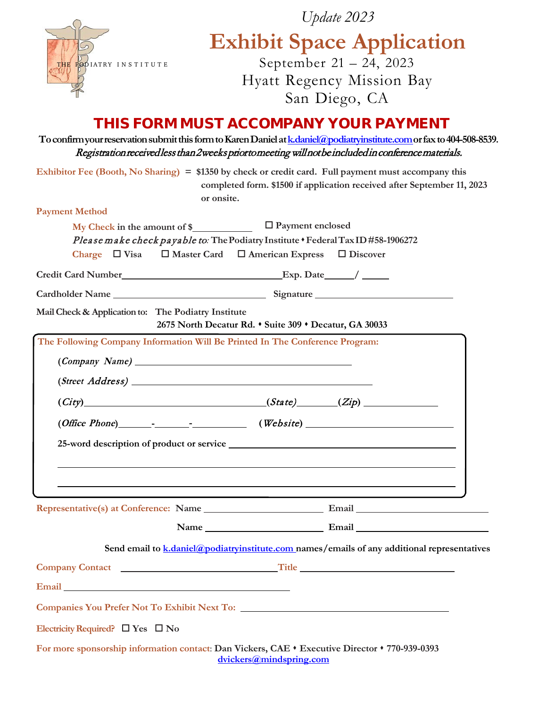|                                                                                                                                                                                                                                      | Update 2023                                                                                                                                                                                                                       |
|--------------------------------------------------------------------------------------------------------------------------------------------------------------------------------------------------------------------------------------|-----------------------------------------------------------------------------------------------------------------------------------------------------------------------------------------------------------------------------------|
|                                                                                                                                                                                                                                      | <b>Exhibit Space Application</b>                                                                                                                                                                                                  |
| THE RODIATRY INSTITUTE                                                                                                                                                                                                               | September 21 - 24, 2023                                                                                                                                                                                                           |
|                                                                                                                                                                                                                                      | <b>Hyatt Regency Mission Bay</b>                                                                                                                                                                                                  |
|                                                                                                                                                                                                                                      | San Diego, CA                                                                                                                                                                                                                     |
|                                                                                                                                                                                                                                      | THIS FORM MUST ACCOMPANY YOUR PAYMENT                                                                                                                                                                                             |
|                                                                                                                                                                                                                                      | To confirm your reservation submit this form to Karen Daniel at k daniel @podiatryinstitute.com or fax to 404-508-8539.<br>Registration received less than 2 weeks prior to meeting will not be included in conference materials. |
|                                                                                                                                                                                                                                      | Exhibitor Fee (Booth, No Sharing) = \$1350 by check or credit card. Full payment must accompany this<br>completed form. \$1500 if application received after September 11, 2023<br>or onsite.                                     |
| <b>Payment Method</b>                                                                                                                                                                                                                |                                                                                                                                                                                                                                   |
|                                                                                                                                                                                                                                      | □ Payment enclosed                                                                                                                                                                                                                |
| Charge $\Box$ Visa                                                                                                                                                                                                                   | Please make check payable to: The Podiatry Institute . Federal Tax ID #58-1906272<br>$\Box$ Master Card $\Box$ American Express<br>$\Box$ Discover                                                                                |
|                                                                                                                                                                                                                                      |                                                                                                                                                                                                                                   |
|                                                                                                                                                                                                                                      |                                                                                                                                                                                                                                   |
| Mail Check & Application to: The Podiatry Institute                                                                                                                                                                                  | 2675 North Decatur Rd. • Suite 309 • Decatur, GA 30033                                                                                                                                                                            |
|                                                                                                                                                                                                                                      | The Following Company Information Will Be Printed In The Conference Program:                                                                                                                                                      |
|                                                                                                                                                                                                                                      |                                                                                                                                                                                                                                   |
|                                                                                                                                                                                                                                      |                                                                                                                                                                                                                                   |
|                                                                                                                                                                                                                                      | $(City)$ $(Zip)$ $(Zip)$                                                                                                                                                                                                          |
|                                                                                                                                                                                                                                      | $(Office Phone)$ [ <i>Website</i> ] <i>(Website</i> ) <i>______________</i>                                                                                                                                                       |
|                                                                                                                                                                                                                                      |                                                                                                                                                                                                                                   |
|                                                                                                                                                                                                                                      |                                                                                                                                                                                                                                   |
|                                                                                                                                                                                                                                      | <u> 1989 - Andrea Santa Andrea Santa Andrea Santa Andrea Santa Andrea Santa Andrea Santa Andrea Santa Andrea San</u>                                                                                                              |
|                                                                                                                                                                                                                                      | <u> 1989 - Johann Stoff, amerikansk politiker (d. 1989)</u><br>,我们也不会有什么。""我们的人,我们也不会有什么?""我们的人,我们也不会有什么?""我们的人,我们的人,我们也不会有什么?""我们的人,我们的人,我们的人,我                                                                                  |
|                                                                                                                                                                                                                                      |                                                                                                                                                                                                                                   |
|                                                                                                                                                                                                                                      |                                                                                                                                                                                                                                   |
|                                                                                                                                                                                                                                      | Send email to $k$ , daniel $\omega$ podiatry institute, com names / emails of any additional representatives                                                                                                                      |
|                                                                                                                                                                                                                                      |                                                                                                                                                                                                                                   |
| Email <u>and the contract of the contract of the contract of the contract of the contract of the contract of the contract of the contract of the contract of the contract of the contract of the contract of the contract of the</u> |                                                                                                                                                                                                                                   |
|                                                                                                                                                                                                                                      |                                                                                                                                                                                                                                   |
| Electricity Required? $\square$ Yes $\square$ No                                                                                                                                                                                     |                                                                                                                                                                                                                                   |
|                                                                                                                                                                                                                                      | For more sponsorship information contact: Dan Vickers, CAE • Executive Director • 770-939-0393                                                                                                                                    |
|                                                                                                                                                                                                                                      | dvickers@mindspring.com                                                                                                                                                                                                           |